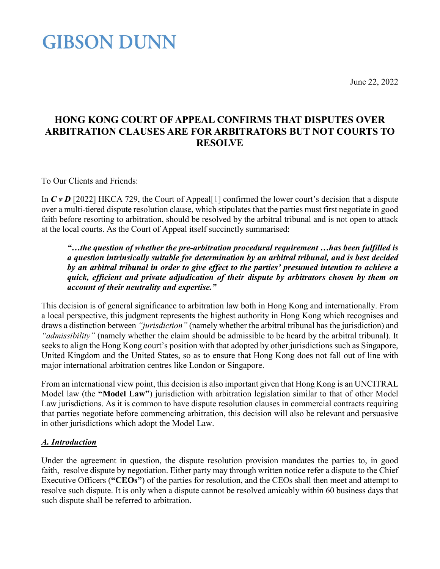June 22, 2022

### **HONG KONG COURT OF APPEAL CONFIRMS THAT DISPUTES OVER ARBITRATION CLAUSES ARE FOR ARBITRATORS BUT NOT COURTS TO RESOLVE**

To Our Clients and Friends:

In *C v D* [2022] HKCA 729, the Court of Appeal<sup>[1]</sup> confirmed the lower court's decision that a dispute over a multi-tiered dispute resolution clause, which stipulates that the parties must first negotiate in good faith before resorting to arbitration, should be resolved by the arbitral tribunal and is not open to attack at the local courts. As the Court of Appeal itself succinctly summarised:

*"…the question of whether the pre-arbitration procedural requirement …has been fulfilled is a question intrinsically suitable for determination by an arbitral tribunal, and is best decided by an arbitral tribunal in order to give effect to the parties' presumed intention to achieve a quick, efficient and private adjudication of their dispute by arbitrators chosen by them on account of their neutrality and expertise."*

This decision is of general significance to arbitration law both in Hong Kong and internationally. From a local perspective, this judgment represents the highest authority in Hong Kong which recognises and draws a distinction between *"jurisdiction"* (namely whether the arbitral tribunal has the jurisdiction) and *"admissibility"* (namely whether the claim should be admissible to be heard by the arbitral tribunal). It seeks to align the Hong Kong court's position with that adopted by other jurisdictions such as Singapore, United Kingdom and the United States, so as to ensure that Hong Kong does not fall out of line with major international arbitration centres like London or Singapore.

From an international view point, this decision is also important given that Hong Kong is an UNCITRAL Model law (the **"Model Law"**) jurisdiction with arbitration legislation similar to that of other Model Law jurisdictions. As it is common to have dispute resolution clauses in commercial contracts requiring that parties negotiate before commencing arbitration, this decision will also be relevant and persuasive in other jurisdictions which adopt the Model Law.

### *A. Introduction*

Under the agreement in question, the dispute resolution provision mandates the parties to, in good faith, resolve dispute by negotiation. Either party may through written notice refer a dispute to the Chief Executive Officers (**"CEOs"**) of the parties for resolution, and the CEOs shall then meet and attempt to resolve such dispute. It is only when a dispute cannot be resolved amicably within 60 business days that such dispute shall be referred to arbitration.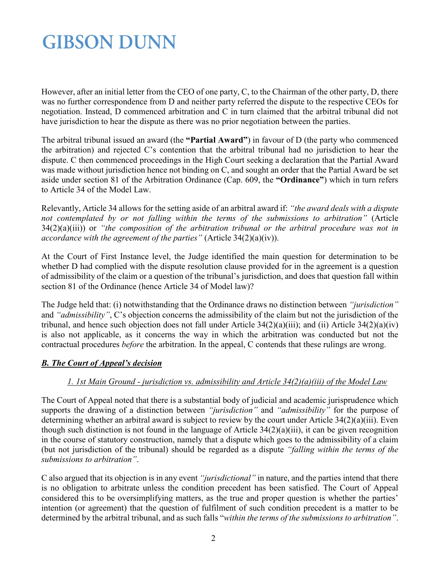However, after an initial letter from the CEO of one party, C, to the Chairman of the other party, D, there was no further correspondence from D and neither party referred the dispute to the respective CEOs for negotiation. Instead, D commenced arbitration and C in turn claimed that the arbitral tribunal did not have jurisdiction to hear the dispute as there was no prior negotiation between the parties.

The arbitral tribunal issued an award (the **"Partial Award"**) in favour of D (the party who commenced the arbitration) and rejected C's contention that the arbitral tribunal had no jurisdiction to hear the dispute. C then commenced proceedings in the High Court seeking a declaration that the Partial Award was made without jurisdiction hence not binding on C, and sought an order that the Partial Award be set aside under section 81 of the Arbitration Ordinance (Cap. 609, the **"Ordinance"**) which in turn refers to Article 34 of the Model Law.

Relevantly, Article 34 allows for the setting aside of an arbitral award if: *"the award deals with a dispute not contemplated by or not falling within the terms of the submissions to arbitration"* (Article 34(2)(a)(iii)) or *"the composition of the arbitration tribunal or the arbitral procedure was not in accordance with the agreement of the parties"* (Article 34(2)(a)(iv)).

At the Court of First Instance level, the Judge identified the main question for determination to be whether D had complied with the dispute resolution clause provided for in the agreement is a question of admissibility of the claim or a question of the tribunal's jurisdiction, and does that question fall within section 81 of the Ordinance (hence Article 34 of Model law)?

The Judge held that: (i) notwithstanding that the Ordinance draws no distinction between *"jurisdiction"* and *"admissibility"*, C's objection concerns the admissibility of the claim but not the jurisdiction of the tribunal, and hence such objection does not fall under Article 34(2)(a)(iii); and (ii) Article 34(2)(a)(iv) is also not applicable, as it concerns the way in which the arbitration was conducted but not the contractual procedures *before* the arbitration. In the appeal, C contends that these rulings are wrong.

### *B. The Court of Appeal's decision*

### *1. 1st Main Ground - jurisdiction vs. admissibility and Article 34(2)(a)(iii) of the Model Law*

The Court of Appeal noted that there is a substantial body of judicial and academic jurisprudence which supports the drawing of a distinction between *"jurisdiction"* and *"admissibility"* for the purpose of determining whether an arbitral award is subject to review by the court under Article 34(2)(a)(iii). Even though such distinction is not found in the language of Article 34(2)(a)(iii), it can be given recognition in the course of statutory construction, namely that a dispute which goes to the admissibility of a claim (but not jurisdiction of the tribunal) should be regarded as a dispute *"falling within the terms of the submissions to arbitration"*.

C also argued that its objection is in any event *"jurisdictional"* in nature, and the parties intend that there is no obligation to arbitrate unless the condition precedent has been satisfied. The Court of Appeal considered this to be oversimplifying matters, as the true and proper question is whether the parties' intention (or agreement) that the question of fulfilment of such condition precedent is a matter to be determined by the arbitral tribunal, and as such falls "*within the terms of the submissions to arbitration"*.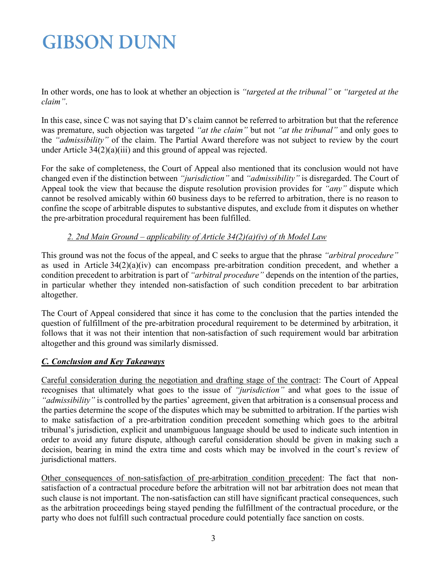In other words, one has to look at whether an objection is *"targeted at the tribunal"* or *"targeted at the claim"*.

In this case, since C was not saying that D's claim cannot be referred to arbitration but that the reference was premature, such objection was targeted *"at the claim"* but not *"at the tribunal"* and only goes to the *"admissibility"* of the claim. The Partial Award therefore was not subject to review by the court under Article 34(2)(a)(iii) and this ground of appeal was rejected.

For the sake of completeness, the Court of Appeal also mentioned that its conclusion would not have changed even if the distinction between *"jurisdiction"* and *"admissibility"* is disregarded. The Court of Appeal took the view that because the dispute resolution provision provides for *"any"* dispute which cannot be resolved amicably within 60 business days to be referred to arbitration, there is no reason to confine the scope of arbitrable disputes to substantive disputes, and exclude from it disputes on whether the pre-arbitration procedural requirement has been fulfilled.

### *2. 2nd Main Ground – applicability of Article 34(2)(a)(iv) of th Model Law*

This ground was not the focus of the appeal, and C seeks to argue that the phrase *"arbitral procedure"* as used in Article 34(2)(a)(iv) can encompass pre-arbitration condition precedent, and whether a condition precedent to arbitration is part of *"arbitral procedure"* depends on the intention of the parties, in particular whether they intended non-satisfaction of such condition precedent to bar arbitration altogether.

The Court of Appeal considered that since it has come to the conclusion that the parties intended the question of fulfillment of the pre-arbitration procedural requirement to be determined by arbitration, it follows that it was not their intention that non-satisfaction of such requirement would bar arbitration altogether and this ground was similarly dismissed.

### *C. Conclusion and Key Takeaways*

Careful consideration during the negotiation and drafting stage of the contract: The Court of Appeal recognises that ultimately what goes to the issue of *"jurisdiction"* and what goes to the issue of *"admissibility"* is controlled by the parties' agreement, given that arbitration is a consensual process and the parties determine the scope of the disputes which may be submitted to arbitration. If the parties wish to make satisfaction of a pre-arbitration condition precedent something which goes to the arbitral tribunal's jurisdiction, explicit and unambiguous language should be used to indicate such intention in order to avoid any future dispute, although careful consideration should be given in making such a decision, bearing in mind the extra time and costs which may be involved in the court's review of jurisdictional matters.

Other consequences of non-satisfaction of pre-arbitration condition precedent: The fact that nonsatisfaction of a contractual procedure before the arbitration will not bar arbitration does not mean that such clause is not important. The non-satisfaction can still have significant practical consequences, such as the arbitration proceedings being stayed pending the fulfillment of the contractual procedure, or the party who does not fulfill such contractual procedure could potentially face sanction on costs.